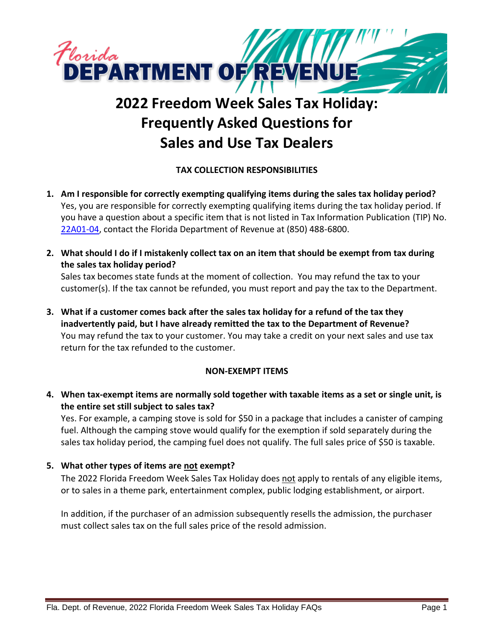

# **2022 Freedom Week Sales Tax Holiday: Frequently Asked Questions for Sales and Use Tax Dealers**

# **TAX COLLECTION RESPONSIBILITIES**

- **1. Am I responsible for correctly exempting qualifying items during the sales tax holiday period?** Yes, you are responsible for correctly exempting qualifying items during the tax holiday period. If you have a question about a specific item that is not listed in Tax Information Publication (TIP) No. [22A01-04,](https://floridarevenue.com/taxes/tips/Documents/TIP_22A01-04.pdf) contact the Florida Department of Revenue at (850) 488-6800.
- **2. What should I do if I mistakenly collect tax on an item that should be exempt from tax during the sales tax holiday period?** Sales tax becomes state funds at the moment of collection. You may refund the tax to your customer(s). If the tax cannot be refunded, you must report and pay the tax to the Department.
- **3. What if a customer comes back after the sales tax holiday for a refund of the tax they inadvertently paid, but I have already remitted the tax to the Department of Revenue?** You may refund the tax to your customer. You may take a credit on your next sales and use tax return for the tax refunded to the customer.

## **NON-EXEMPT ITEMS**

**4. When tax-exempt items are normally sold together with taxable items as a set or single unit, is the entire set still subject to sales tax?**

Yes. For example, a camping stove is sold for \$50 in a package that includes a canister of camping fuel. Although the camping stove would qualify for the exemption if sold separately during the sales tax holiday period, the camping fuel does not qualify. The full sales price of \$50 is taxable.

## **5. What other types of items are not exempt?**

The 2022 Florida Freedom Week Sales Tax Holiday does not apply to rentals of any eligible items, or to sales in a theme park, entertainment complex, public lodging establishment, or airport.

In addition, if the purchaser of an admission subsequently resells the admission, the purchaser must collect sales tax on the full sales price of the resold admission.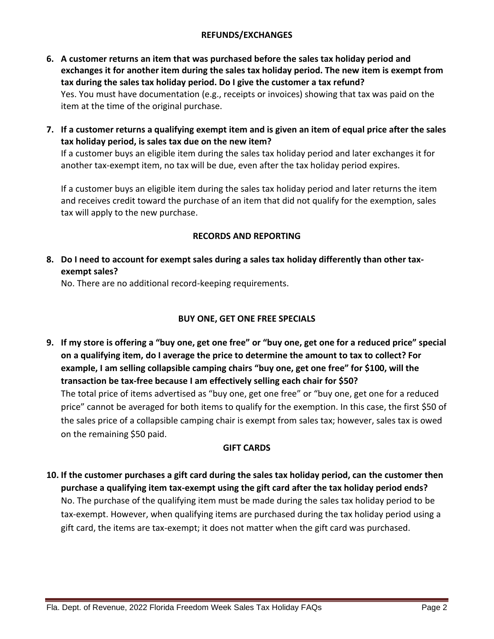#### **REFUNDS/EXCHANGES**

- **6. A customer returns an item that was purchased before the sales tax holiday period and exchanges it for another item during the sales tax holiday period. The new item is exempt from tax during the sales tax holiday period. Do I give the customer a tax refund?** Yes. You must have documentation (e.g., receipts or invoices) showing that tax was paid on the item at the time of the original purchase.
- **7. If a customer returns a qualifying exempt item and is given an item of equal price after the sales tax holiday period, is sales tax due on the new item?**

If a customer buys an eligible item during the sales tax holiday period and later exchanges it for another tax-exempt item, no tax will be due, even after the tax holiday period expires.

If a customer buys an eligible item during the sales tax holiday period and later returns the item and receives credit toward the purchase of an item that did not qualify for the exemption, sales tax will apply to the new purchase.

#### **RECORDS AND REPORTING**

**8. Do I need to account for exempt sales during a sales tax holiday differently than other taxexempt sales?**

No. There are no additional record-keeping requirements.

## **BUY ONE, GET ONE FREE SPECIALS**

**9. If my store is offering a "buy one, get one free" or "buy one, get one for a reduced price" special on a qualifying item, do I average the price to determine the amount to tax to collect? For example, I am selling collapsible camping chairs "buy one, get one free" for \$100, will the transaction be tax-free because I am effectively selling each chair for \$50?** The total price of items advertised as "buy one, get one free" or "buy one, get one for a reduced price" cannot be averaged for both items to qualify for the exemption. In this case, the first \$50 of the sales price of a collapsible camping chair is exempt from sales tax; however, sales tax is owed on the remaining \$50 paid.

#### **GIFT CARDS**

**10. If the customer purchases a gift card during the sales tax holiday period, can the customer then purchase a qualifying item tax-exempt using the gift card after the tax holiday period ends?** No. The purchase of the qualifying item must be made during the sales tax holiday period to be tax-exempt. However, when qualifying items are purchased during the tax holiday period using a gift card, the items are tax-exempt; it does not matter when the gift card was purchased.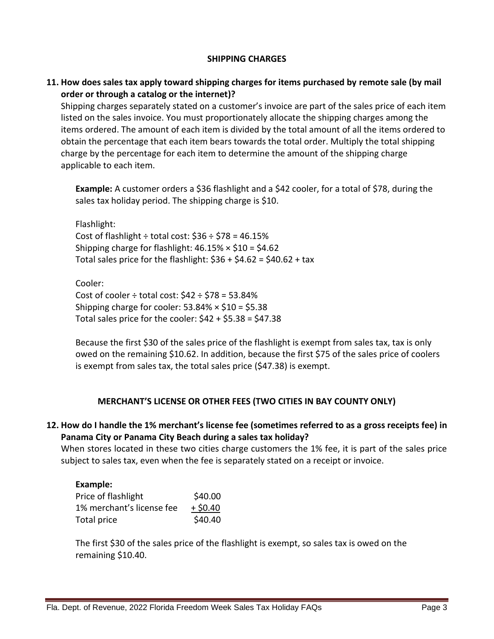#### **SHIPPING CHARGES**

## **11. How does sales tax apply toward shipping charges for items purchased by remote sale (by mail order or through a catalog or the internet)?**

Shipping charges separately stated on a customer's invoice are part of the sales price of each item listed on the sales invoice. You must proportionately allocate the shipping charges among the items ordered. The amount of each item is divided by the total amount of all the items ordered to obtain the percentage that each item bears towards the total order. Multiply the total shipping charge by the percentage for each item to determine the amount of the shipping charge applicable to each item.

**Example:** A customer orders a \$36 flashlight and a \$42 cooler, for a total of \$78, during the sales tax holiday period. The shipping charge is \$10.

Flashlight: Cost of flashlight  $\div$  total cost: \$36  $\div$  \$78 = 46.15% Shipping charge for flashlight:  $46.15\% \times $10 = $4.62$ Total sales price for the flashlight:  $$36 + $4.62 = $40.62 + tax$ 

Cooler: Cost of cooler  $\div$  total cost:  $$42 \div $78 = 53.84\%$ Shipping charge for cooler:  $53.84\% \times $10 = $5.38$ Total sales price for the cooler:  $$42 + $5.38 = $47.38$ 

Because the first \$30 of the sales price of the flashlight is exempt from sales tax, tax is only owed on the remaining \$10.62. In addition, because the first \$75 of the sales price of coolers is exempt from sales tax, the total sales price (\$47.38) is exempt.

## **MERCHANT'S LICENSE OR OTHER FEES (TWO CITIES IN BAY COUNTY ONLY)**

## **12. How do I handle the 1% merchant's license fee (sometimes referred to as a gross receipts fee) in Panama City or Panama City Beach during a sales tax holiday?**

When stores located in these two cities charge customers the 1% fee, it is part of the sales price subject to sales tax, even when the fee is separately stated on a receipt or invoice.

## **Example:**

| Price of flashlight       | \$40.00    |
|---------------------------|------------|
| 1% merchant's license fee | $+$ \$0.40 |
| Total price               | \$40.40    |

The first \$30 of the sales price of the flashlight is exempt, so sales tax is owed on the remaining \$10.40.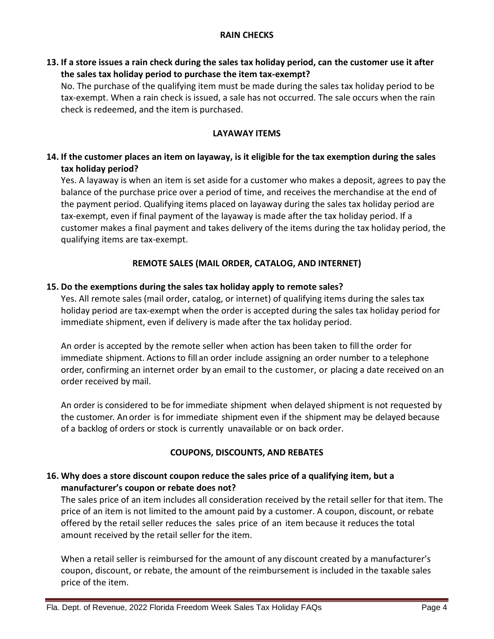**13. If a store issues a rain check during the sales tax holiday period, can the customer use it after the sales tax holiday period to purchase the item tax-exempt?**

No. The purchase of the qualifying item must be made during the sales tax holiday period to be tax-exempt. When a rain check is issued, a sale has not occurred. The sale occurs when the rain check is redeemed, and the item is purchased.

## **LAYAWAY ITEMS**

# **14. If the customer places an item on layaway, is it eligible for the tax exemption during the sales tax holiday period?**

Yes. A layaway is when an item is set aside for a customer who makes a deposit, agrees to pay the balance of the purchase price over a period of time, and receives the merchandise at the end of the payment period. Qualifying items placed on layaway during the sales tax holiday period are tax-exempt, even if final payment of the layaway is made after the tax holiday period. If a customer makes a final payment and takes delivery of the items during the tax holiday period, the qualifying items are tax-exempt.

## **REMOTE SALES (MAIL ORDER, CATALOG, AND INTERNET)**

## **15. Do the exemptions during the sales tax holiday apply to remote sales?**

Yes. All remote sales (mail order, catalog, or internet) of qualifying items during the sales tax holiday period are tax-exempt when the order is accepted during the sales tax holiday period for immediate shipment, even if delivery is made after the tax holiday period.

An order is accepted by the remote seller when action has been taken to fillthe order for immediate shipment. Actions to fill an order include assigning an order number to a telephone order, confirming an internet order by an email to the customer, or placing a date received on an order received by mail.

An order is considered to be for immediate shipment when delayed shipment is not requested by the customer. An order is for immediate shipment even if the shipment may be delayed because of a backlog of orders or stock is currently unavailable or on back order.

## **COUPONS, DISCOUNTS, AND REBATES**

## **16. Why does a store discount coupon reduce the sales price of a qualifying item, but a manufacturer's coupon or rebate does not?**

The sales price of an item includes all consideration received by the retail seller for that item. The price of an item is not limited to the amount paid by a customer. A coupon, discount, or rebate offered by the retail seller reduces the sales price of an item because it reduces the total amount received by the retail seller for the item.

When a retail seller is reimbursed for the amount of any discount created by a manufacturer's coupon, discount, or rebate, the amount of the reimbursement is included in the taxable sales price of the item.